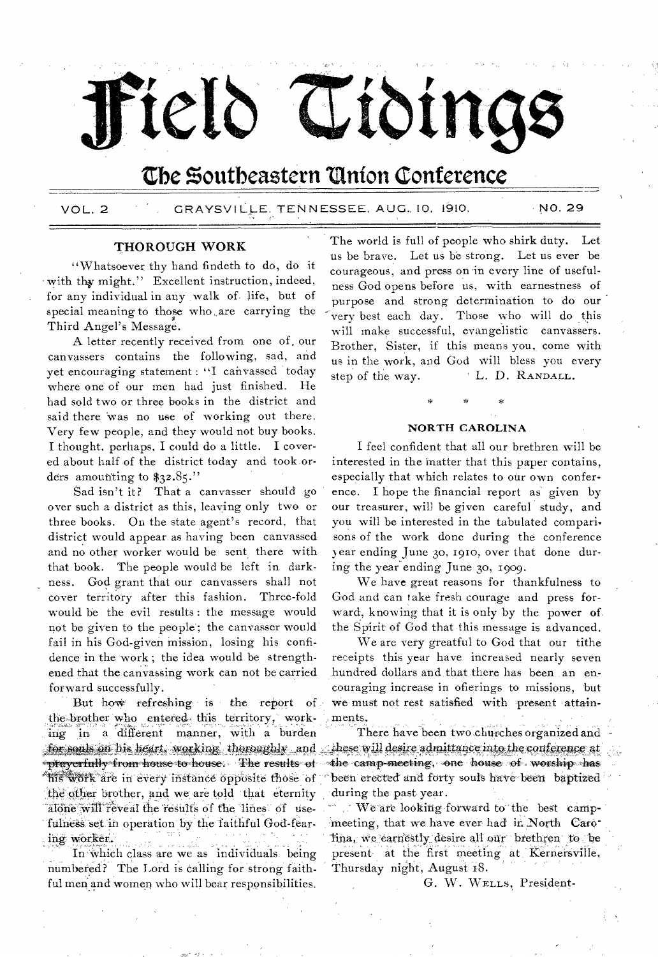# Field Tidings

# The Southeastern Union Conference

GRAYSVILLE, TENNESSEE, AUG. 10, 1910. **VOL. 2** 

NO. 29

#### THOROUGH WORK

"Whatsoever thy hand findeth to do, do it with thy might." Excellent instruction, indeed, for any individual in any walk of life, but of special meaning to those who are carrying the Third Angel's Message.

A letter recently received from one of our canvassers contains the following, sad, and yet encouraging statement : "I canvassed today where one of our men had just finished. He had sold two or three books in the district and said there was no use of working out there. Very few people, and they would not buy books. I thought, perhaps, I could do a little. I covered about half of the district today and took orders amounting to  $$32.85$ ."

Sad isn't it? That a canvasser should go over such a district as this, leaving only two or three books. On the state agent's record, that district would appear as having been canvassed and no other worker would be sent there with that book. The people would be left in darkness. God grant that our canvassers shall not cover territory after this fashion. Three-fold would be the evil results: the message would not be given to the people; the canvasser would fail in his God-given mission, losing his confidence in the work; the idea would be strengthened that the canvassing work can not be carried forward successfully.

But how refreshing is the report of the brother who entered this territory, working in a different manner, with a burden for souls on his heart, working thoroughly and \*prayerfully\*from\*house\*to\*house: The results of his work are in every instance opposite those of the other brother, and we are told that eternity alone will reveal the results of the lines of usefulness set in operation by the faithful God-fearing worker.

In which class are we as individuals being numbered? The Lord is calling for strong faithful men and women who will bear responsibilities.

The world is full of people who shirk duty. Let us be brave. Let us be strong. Let us ever be courageous, and press on in every line of usefulness God opens before us, with earnestness of purpose and strong determination to do our very best each day. Those who will do this will make successful, evangelistic canvassers. Brother, Sister, if this means you, come with us in the work, and God will bless you every L. D. RANDALL. step of the way.

#### **NORTH CAROLINA**

I feel confident that all our brethren will be interested in the matter that this paper contains, especially that which relates to our own conference. I hope the financial report as given by our treasurer, will be given careful study, and you will be interested in the tabulated comparisons of the work done during the conference year ending June 30, 1910, over that done during the year ending June 30, 1909.

We have great reasons for thankfulness to God and can take fresh courage and press forward, knowing that it is only by the power of the Spirit of God that this message is advanced.

We are very greatful to God that our tithe receipts this year have increased nearly seven hundred dollars and that there has been an encouraging increase in ofierings to missions, but we must not rest satisfied with present attainments.

There have been two churches organized and  $\therefore$  these will desire admittance into the conference at the camp-meeting, one house of worship has been erected and forty souls have been baptized during the past year.

We are looking forward to the best campmeeting, that we have ever had in North Carolina, we carnestly desire all our brethren to be present at the first meeting at Kernersville, Thursday night, August 18.

G. W. WELLS, President-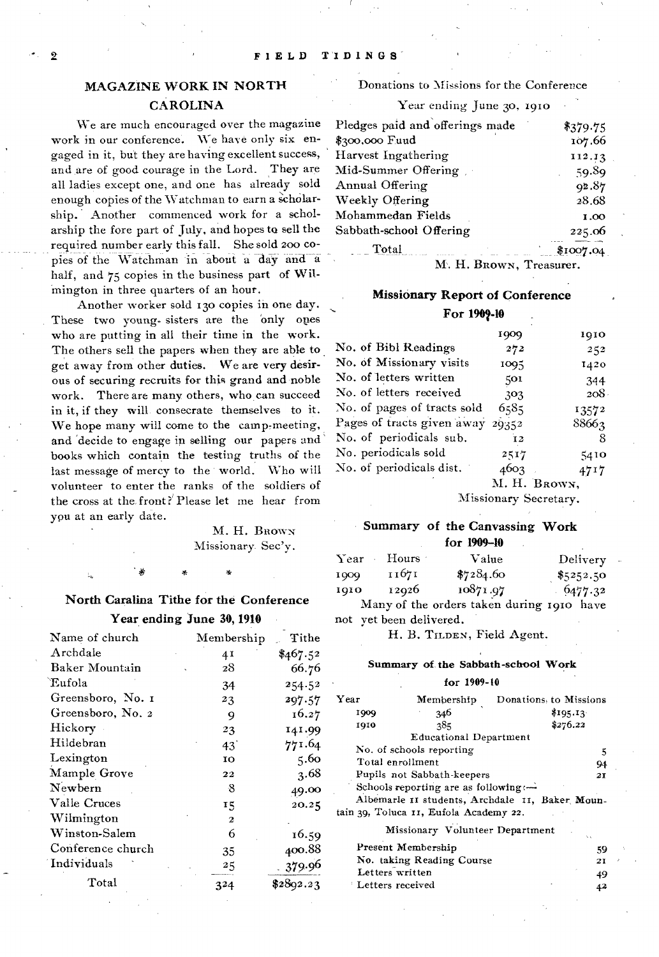# MAGAZINE WORK IN NORTH CAROLINA

We are much encouraged over the magazine work in our conference. We have only six engaged in it, but they are having excellent success, and are of good courage in the Lord. They are all ladies except one, and one has already sold enough copies of the Watchman to earn a scholarship. Another commenced work for a scholarship the fore part of July, and hopes to sell the required number early this fall. She sold zoo copies of the Watchman in about a day and a half, and 75 copies in the business part of Wilinington in three quarters of an hour.

Another worker sold 13o copies in one day. These two young sisters are the only ones who are putting in all their time in the work. The others sell the papers when they are able to get away from other duties. We are very desirous of securing recruits for this grand and noble work. There are many others, who, can succeed in it, if they will consecrate themselves to it. We hope many will come to the camp-meeting, and 'decide to engage in selling our papers and books which contain the testing truths of the last message of mercy to the world. Who will volunteer to enter the ranks of the soldiers of the cross at the. front?` Please let me hear from you at an early date.

> M. H. BROWN Missionary. Sec'y.

# North Caralina Tithe for the Conference Year ending June 30, 1910

| Name of church    | $M$ embership  | Tithe     |
|-------------------|----------------|-----------|
| Archdale          | 41             | \$467.52  |
| Baker Mountain    | 28             | 66.76     |
| Eufola            | 34             | 254.52    |
| Greensboro, No. 1 | 23             | 297.57    |
| Greensboro, No. 2 | 9              | 16.27     |
| Hickory           | 23             | 141.99    |
| Hildebran         | $43^\circ$     | 771.64    |
| Lexington         | 10             | 5.60      |
| Mample Grove      | 22             | 3.68      |
| Newbern           | -8             | 49.00     |
| Valle Cruces      | 15             | 20.25     |
| Wilmington        | $\overline{2}$ |           |
| Winston-Salem     | 6              | 16.59     |
| Conference church | 35             | 400.88    |
| Individuals       | 25             | 379.96    |
| Total             | 324            | \$2892.23 |

#### Donations to Missions for the Conference

Year ending June 30, 1910

| Pledges paid and offerings made | \$379.75  |
|---------------------------------|-----------|
| \$300,000 Fuud                  | 107.66    |
| Harvest Ingathering             | 112.13    |
| Mid-Summer Offering             | 59.89     |
| Annual Offering                 | 92.87     |
| Weekly Offering                 | 28.68     |
| Mohammedan Fields               | 1.00      |
| Sabbath-school Offering         | 225.06    |
| Total                           | \$1007.04 |

M. H. BROWN, Treasurer.

## Missionary Report of Conference

For 1909-10

|                                  | 1909 | 1910         |
|----------------------------------|------|--------------|
| No. of Bibl Readings             | 272  | 252          |
| No. of Missionary visits         | 1095 | 1420         |
| No. of letters written           | 501  | 344          |
| No. of letters received          | 303  | 208.         |
| No. of pages of tracts sold      | 6585 | 13572        |
| Pages of tracts given away 29352 |      | 88663        |
| No. of periodicals sub.          | 12   | 8            |
| No. periodicals sold             | 2517 | 5410         |
| No. of periodicals dist.         | 4603 | 4717         |
|                                  |      | M. H. BROWN, |
|                                  |      |              |

Missionary Secretary.

#### Summary of the Canvassing Work for 1909-10

| Year | Hours : | Value                                       | Delivery   | $\sim$ |
|------|---------|---------------------------------------------|------------|--------|
| 1909 | 11671   | \$7284.60                                   | \$5252.50  |        |
| 1910 | 12926   | 10871.97                                    | $-6477.32$ |        |
|      |         | Monu of the audaus taken during raza, house |            |        |

Many of the orders taken during 1910 have not yet been delivered.

H. B. TILDEN, Field Agent.

#### Summary of. the Sabbath-school Work

#### for 1909-t0

| Year               | Membership                             | Donations to Missions                           |
|--------------------|----------------------------------------|-------------------------------------------------|
| 1909               | 246                                    | \$195.13                                        |
| 1910               | 285                                    | \$276.22                                        |
|                    | <b>Educational Department</b>          |                                                 |
|                    | No. of schools reporting               | 5                                               |
| Total enrollment   |                                        | 94                                              |
|                    | Pupils not Sabbath-keepers             | 21                                              |
|                    | Schools reporting are as following :-  |                                                 |
|                    |                                        | Albemarle II students, Archdale II, Baker Moun- |
|                    | tain 39, Toluca 11, Eufola Academy 22. |                                                 |
|                    | Missionary Volunteer Department        | Ň.                                              |
|                    | Present Membership                     | 59                                              |
|                    | No. taking Reading Course              | 21                                              |
| Letters written    |                                        | 49                                              |
| ' Letters received |                                        | 42                                              |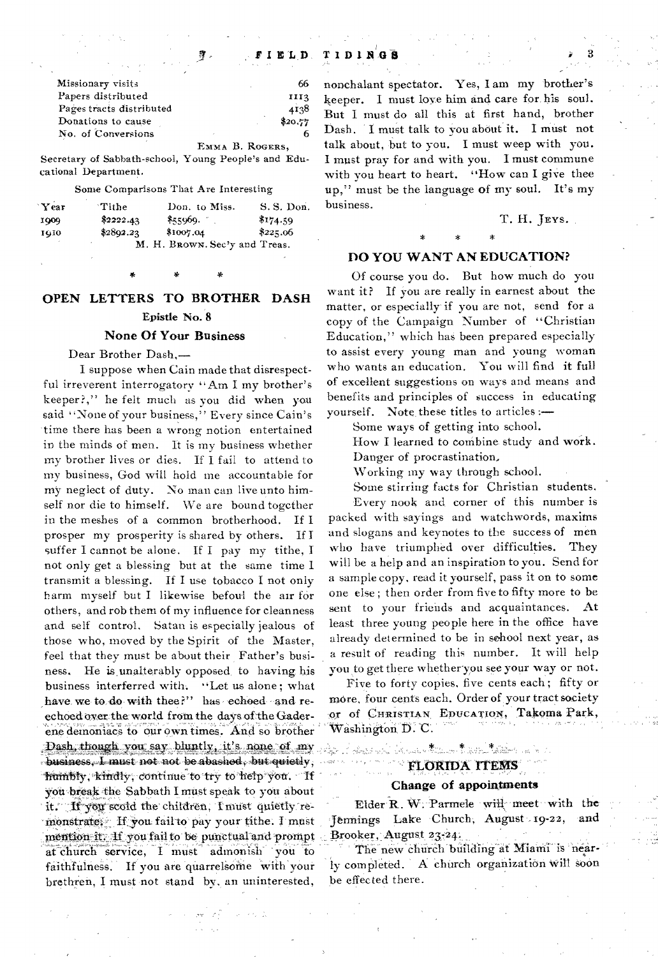| Missionary visits        | 66      |
|--------------------------|---------|
| Papers distributed       | III3    |
| Pages tracts distributed | 4138    |
| Donations to cause       | \$20.77 |
| No. of Conversions       |         |

EMMA B. ROGERS,

Secretary of Sabbath-school, Young People's and Educational Department.

#### Some Comparisons That Are Interesting

| Year | Tithe     | Don. to Miss.                 | S. S. Don. |
|------|-----------|-------------------------------|------------|
| 1000 | \$2222.43 | \$55969.                      | \$174.59   |
| 1010 | \$2892.23 | \$1007.04                     | \$225.06   |
|      |           | M. H. BROWN. Sec'y and Treas. |            |

# OPEN LETTERS TO BROTHER DASH Epistle No. 8

#### None Of Your Business

Dear Brother Dash,—

I suppose when Cain made that disrespectful irreverent interrogatory "Am I my brother's keeper?," he felt much as you did when you said "None of your business," Every since Cain's time there has been a wrong notion entertained in the minds of men. It is my business whether my brother lives or dies. If I fail to attend to my business, God will hold me accountable for my neglect of duty. No man can live unto himself nor die to himself. We are bound togcther in the meshes of a common brotherhood. If I prosper my prosperity is shared by others. HI suffer I cannot be alone. If I pay my tithe, I not only get a blessing but at the same time I transmit a blessing. If I use tobacco I not only harm myself but I likewise befoul the air for others, and rob them of my influence for cleanness and self control. Satan is especially jealous of those who, moved by the Spirit of the Master, feel that they must be about their Father's business. He is unalterably opposed, to having his business interferred with. "Let us alone; what have we to do with thee?" has echoed -and reechoed over the world from the days of the Gaderene demoniacs to our own times. And so brother Dash, though you say bluntly, it's none of my  $b$ usiness, I must not not be abashed, but quietly; humbly, kindly, continue to try to help you. If you break the Sabbath I must speak to you about it. If you scold the children, I must quietly remonstrate, If you fail to pay your tithe. I must mention it. If you fail to be punctual and prompt at church service, I must admonish you to faithfulness. If you are quarrelsome with your brethren, I must not stand by. an uninterested,

nonchalant spectator. Yes, I am my brother's keeper. I must love him and care for his soul. But I must do all this at first hand, brother Dash. I must talk to you about it. I must not talk about, but to you. I must weep with you. I must pray for and with you. I must commune with you heart to heart. "How can I give thee up," must be the language of my soul. It's my business.

#### T. H. JEYS.

# \* \* \*

#### DO YOU WANT AN EDUCATION?

Of course you do. But how much do you want it? If you are really in earnest about the matter, or especially if you are not, send for a copy of the Campaign Number of "Christian Education," which has been prepared especially to assist every young man and young woman who wants an education. You will find it full of excellent suggestions on ways and means and benefits and principles of success in educating yourself. Note, these titles to articles:—

Some ways of getting into school.

How I learned to combine study and work. Danger of procrastination.

Working my way through school.

Some stirring facts for Christian students.

Every nook and corner of this number is packed with sayings and watchwords, maxims and slogans and keynotes to the success of men who have triumphed over difficulties. They will be a help and an inspiration to you. Send for a sample copy, read it yourself, pass it on to some one else ; then order from five to fifty more to be sent to your friends and acquaintances. At least three young people here in the office have already determined to be in school next year, as a result of reading this number. It will help you to get there whether you see your way or not.

Five to forty copies, five cents each ; fifty or more, four cents each. Order of, your tract society or of CHRISTIAN, EDUCATION, Takoma Park,  $W$ ashington  $D$ .  $C$ .

Application Ander them that taken a him

### FLORIDA ITEMS Change of appointments

Elder R. W. Parmele will meet with the Jennings Lake Church, August 19-22, and Brooker, August 23-24.

er, August 23.24.<br>he new church building at Miami is 'nearly completed. A church organization will soon be effected there.